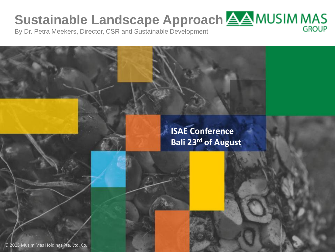# **Sustainable Landscape Approach**  $\underline{\triangle\triangle}$  **MUSIM MAS**

By Dr. Petra Meekers, Director, CSR and Sustainable Development

**ISAE Conference Bali 23rd of August**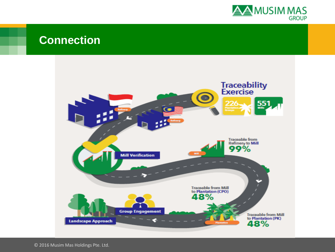

### **Connection**



© 2016 Musim Mas Holdings Pte. Ltd.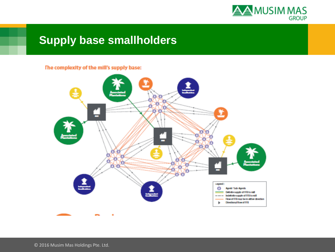

# **Supply base smallholders**

#### The complexity of the mill's supply base:



© 2016 Musim Mas Holdings Pte. Ltd.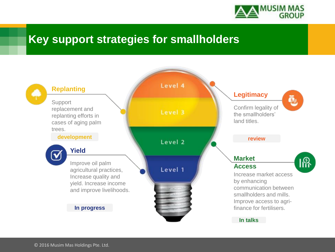

# **Key support strategies for smallholders**